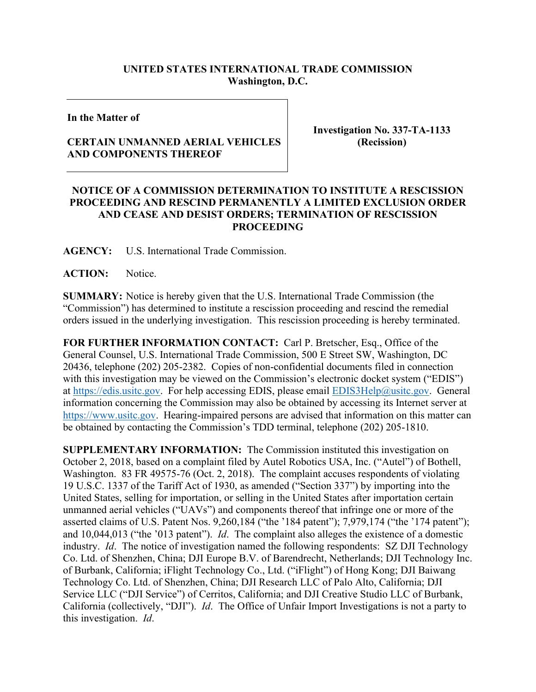## **UNITED STATES INTERNATIONAL TRADE COMMISSION Washington, D.C.**

**In the Matter of**

## **CERTAIN UNMANNED AERIAL VEHICLES AND COMPONENTS THEREOF**

**Investigation No. 337-TA-1133 (Recission)**

## **NOTICE OF A COMMISSION DETERMINATION TO INSTITUTE A RESCISSION PROCEEDING AND RESCIND PERMANENTLY A LIMITED EXCLUSION ORDER AND CEASE AND DESIST ORDERS; TERMINATION OF RESCISSION PROCEEDING**

**AGENCY:** U.S. International Trade Commission.

ACTION: Notice.

**SUMMARY:** Notice is hereby given that the U.S. International Trade Commission (the "Commission") has determined to institute a rescission proceeding and rescind the remedial orders issued in the underlying investigation. This rescission proceeding is hereby terminated.

**FOR FURTHER INFORMATION CONTACT:** Carl P. Bretscher, Esq., Office of the General Counsel, U.S. International Trade Commission, 500 E Street SW, Washington, DC 20436, telephone (202) 205-2382. Copies of non-confidential documents filed in connection with this investigation may be viewed on the Commission's electronic docket system ("EDIS") at [https://edis.usitc.gov.](https://edis.usitc.gov/) For help accessing EDIS, please email [EDIS3Help@usitc.gov.](mailto:EDIS3Help@usitc.gov) General information concerning the Commission may also be obtained by accessing its Internet server at [https://www.usitc.gov.](https://www.usitc.gov/) Hearing-impaired persons are advised that information on this matter can be obtained by contacting the Commission's TDD terminal, telephone (202) 205-1810.

**SUPPLEMENTARY INFORMATION:** The Commission instituted this investigation on October 2, 2018, based on a complaint filed by Autel Robotics USA, Inc. ("Autel") of Bothell, Washington. 83 FR 49575-76 (Oct. 2, 2018). The complaint accuses respondents of violating 19 U.S.C. 1337 of the Tariff Act of 1930, as amended ("Section 337") by importing into the United States, selling for importation, or selling in the United States after importation certain unmanned aerial vehicles ("UAVs") and components thereof that infringe one or more of the asserted claims of U.S. Patent Nos. 9,260,184 ("the '184 patent"); 7,979,174 ("the '174 patent"); and 10,044,013 ("the '013 patent"). *Id*. The complaint also alleges the existence of a domestic industry. *Id*. The notice of investigation named the following respondents: SZ DJI Technology Co. Ltd. of Shenzhen, China; DJI Europe B.V. of Barendrecht, Netherlands; DJI Technology Inc. of Burbank, California; iFlight Technology Co., Ltd. ("iFlight") of Hong Kong; DJI Baiwang Technology Co. Ltd. of Shenzhen, China; DJI Research LLC of Palo Alto, California; DJI Service LLC ("DJI Service") of Cerritos, California; and DJI Creative Studio LLC of Burbank, California (collectively, "DJI"). *Id*. The Office of Unfair Import Investigations is not a party to this investigation. *Id*.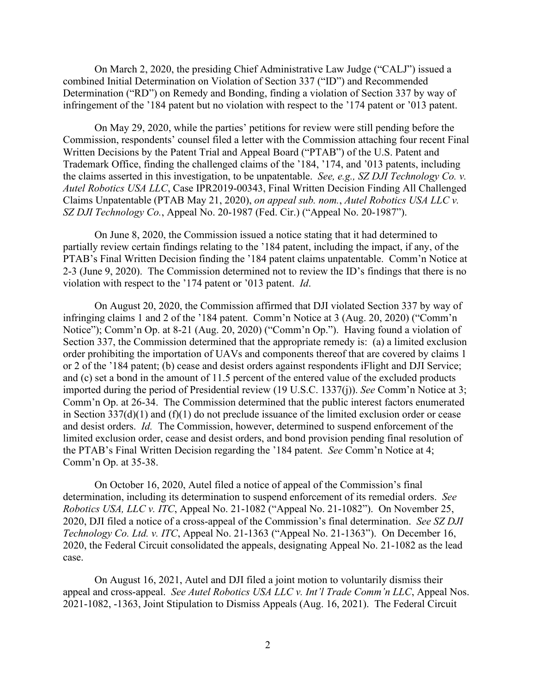On March 2, 2020, the presiding Chief Administrative Law Judge ("CALJ") issued a combined Initial Determination on Violation of Section 337 ("ID") and Recommended Determination ("RD") on Remedy and Bonding, finding a violation of Section 337 by way of infringement of the '184 patent but no violation with respect to the '174 patent or '013 patent.

On May 29, 2020, while the parties' petitions for review were still pending before the Commission, respondents' counsel filed a letter with the Commission attaching four recent Final Written Decisions by the Patent Trial and Appeal Board ("PTAB") of the U.S. Patent and Trademark Office, finding the challenged claims of the '184, '174, and '013 patents, including the claims asserted in this investigation, to be unpatentable. *See, e.g., SZ DJI Technology Co. v. Autel Robotics USA LLC*, Case IPR2019-00343, Final Written Decision Finding All Challenged Claims Unpatentable (PTAB May 21, 2020), *on appeal sub. nom.*, *Autel Robotics USA LLC v. SZ DJI Technology Co.*, Appeal No. 20-1987 (Fed. Cir.) ("Appeal No. 20-1987").

On June 8, 2020, the Commission issued a notice stating that it had determined to partially review certain findings relating to the '184 patent, including the impact, if any, of the PTAB's Final Written Decision finding the '184 patent claims unpatentable. Comm'n Notice at 2-3 (June 9, 2020). The Commission determined not to review the ID's findings that there is no violation with respect to the '174 patent or '013 patent. *Id*.

On August 20, 2020, the Commission affirmed that DJI violated Section 337 by way of infringing claims 1 and 2 of the '184 patent. Comm'n Notice at 3 (Aug. 20, 2020) ("Comm'n Notice"); Comm'n Op. at 8-21 (Aug. 20, 2020) ("Comm'n Op."). Having found a violation of Section 337, the Commission determined that the appropriate remedy is: (a) a limited exclusion order prohibiting the importation of UAVs and components thereof that are covered by claims 1 or 2 of the '184 patent; (b) cease and desist orders against respondents iFlight and DJI Service; and (c) set a bond in the amount of 11.5 percent of the entered value of the excluded products imported during the period of Presidential review (19 U.S.C. 1337(j)). *See* Comm'n Notice at 3; Comm'n Op. at 26-34. The Commission determined that the public interest factors enumerated in Section 337(d)(1) and (f)(1) do not preclude issuance of the limited exclusion order or cease and desist orders. *Id.* The Commission, however, determined to suspend enforcement of the limited exclusion order, cease and desist orders, and bond provision pending final resolution of the PTAB's Final Written Decision regarding the '184 patent. *See* Comm'n Notice at 4; Comm'n Op. at 35-38.

On October 16, 2020, Autel filed a notice of appeal of the Commission's final determination, including its determination to suspend enforcement of its remedial orders. *See Robotics USA, LLC v. ITC*, Appeal No. 21-1082 ("Appeal No. 21-1082"). On November 25, 2020, DJI filed a notice of a cross-appeal of the Commission's final determination. *See SZ DJI Technology Co. Ltd. v. ITC*, Appeal No. 21-1363 ("Appeal No. 21-1363"). On December 16, 2020, the Federal Circuit consolidated the appeals, designating Appeal No. 21-1082 as the lead case.

On August 16, 2021, Autel and DJI filed a joint motion to voluntarily dismiss their appeal and cross-appeal. *See Autel Robotics USA LLC v. Int'l Trade Comm'n LLC*, Appeal Nos. 2021-1082, -1363, Joint Stipulation to Dismiss Appeals (Aug. 16, 2021). The Federal Circuit